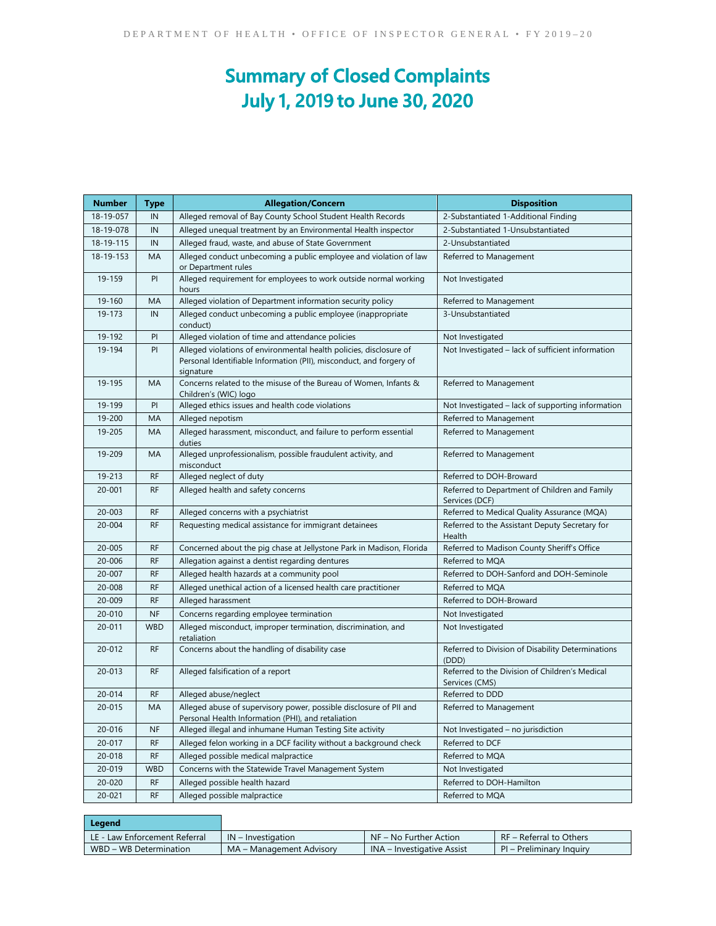## **Summary of Closed Complaints July 1, 2019 to June 30, 2020**

| <b>Number</b> | Type       | <b>Allegation/Concern</b>                                                                                                                              | <b>Disposition</b>                                               |  |
|---------------|------------|--------------------------------------------------------------------------------------------------------------------------------------------------------|------------------------------------------------------------------|--|
| 18-19-057     | IN         | Alleged removal of Bay County School Student Health Records                                                                                            | 2-Substantiated 1-Additional Finding                             |  |
| 18-19-078     | IN         | Alleged unequal treatment by an Environmental Health inspector                                                                                         | 2-Substantiated 1-Unsubstantiated                                |  |
| 18-19-115     | IN         | Alleged fraud, waste, and abuse of State Government                                                                                                    | 2-Unsubstantiated                                                |  |
| 18-19-153     | <b>MA</b>  | Alleged conduct unbecoming a public employee and violation of law<br>or Department rules                                                               | Referred to Management                                           |  |
| 19-159        | PI         | Alleged requirement for employees to work outside normal working<br>hours                                                                              | Not Investigated                                                 |  |
| 19-160        | MA         | Alleged violation of Department information security policy                                                                                            | Referred to Management                                           |  |
| 19-173        | IN         | Alleged conduct unbecoming a public employee (inappropriate<br>conduct)                                                                                | 3-Unsubstantiated                                                |  |
| 19-192        | PI         | Alleged violation of time and attendance policies                                                                                                      | Not Investigated                                                 |  |
| 19-194        | PI         | Alleged violations of environmental health policies, disclosure of<br>Personal Identifiable Information (PII), misconduct, and forgery of<br>signature | Not Investigated – lack of sufficient information                |  |
| 19-195        | MA         | Concerns related to the misuse of the Bureau of Women, Infants &<br>Children's (WIC) logo                                                              | Referred to Management                                           |  |
| 19-199        | P          | Alleged ethics issues and health code violations                                                                                                       | Not Investigated - lack of supporting information                |  |
| 19-200        | MA         | Alleged nepotism                                                                                                                                       | Referred to Management                                           |  |
| 19-205        | MA         | Alleged harassment, misconduct, and failure to perform essential<br>duties                                                                             | Referred to Management                                           |  |
| 19-209        | MA         | Alleged unprofessionalism, possible fraudulent activity, and<br>misconduct                                                                             | Referred to Management                                           |  |
| 19-213        | <b>RF</b>  | Alleged neglect of duty                                                                                                                                | Referred to DOH-Broward                                          |  |
| $20 - 001$    | <b>RF</b>  | Alleged health and safety concerns                                                                                                                     | Referred to Department of Children and Family<br>Services (DCF)  |  |
| $20 - 003$    | <b>RF</b>  | Alleged concerns with a psychiatrist                                                                                                                   | Referred to Medical Quality Assurance (MQA)                      |  |
| 20-004        | <b>RF</b>  | Requesting medical assistance for immigrant detainees                                                                                                  | Referred to the Assistant Deputy Secretary for<br>Health         |  |
| 20-005        | <b>RF</b>  | Concerned about the pig chase at Jellystone Park in Madison, Florida                                                                                   | Referred to Madison County Sheriff's Office                      |  |
| 20-006        | <b>RF</b>  | Allegation against a dentist regarding dentures                                                                                                        | Referred to MQA                                                  |  |
| 20-007        | <b>RF</b>  | Alleged health hazards at a community pool                                                                                                             | Referred to DOH-Sanford and DOH-Seminole                         |  |
| 20-008        | <b>RF</b>  | Alleged unethical action of a licensed health care practitioner                                                                                        | Referred to MQA                                                  |  |
| 20-009        | <b>RF</b>  | Alleged harassment                                                                                                                                     | Referred to DOH-Broward                                          |  |
| 20-010        | <b>NF</b>  | Concerns regarding employee termination                                                                                                                | Not Investigated                                                 |  |
| 20-011        | <b>WBD</b> | Alleged misconduct, improper termination, discrimination, and<br>retaliation                                                                           | Not Investigated                                                 |  |
| 20-012        | RF         | Concerns about the handling of disability case                                                                                                         | Referred to Division of Disability Determinations<br>(DDD)       |  |
| 20-013        | <b>RF</b>  | Alleged falsification of a report                                                                                                                      | Referred to the Division of Children's Medical<br>Services (CMS) |  |
| 20-014        | <b>RF</b>  | Alleged abuse/neglect                                                                                                                                  | Referred to DDD                                                  |  |
| 20-015        | MA         | Alleged abuse of supervisory power, possible disclosure of PII and<br>Personal Health Information (PHI), and retaliation                               | Referred to Management                                           |  |
| 20-016        | <b>NF</b>  | Alleged illegal and inhumane Human Testing Site activity                                                                                               | Not Investigated – no jurisdiction                               |  |
| 20-017        | <b>RF</b>  | Alleged felon working in a DCF facility without a background check                                                                                     | Referred to DCF                                                  |  |
| 20-018        | RF         | Alleged possible medical malpractice                                                                                                                   | Referred to MQA                                                  |  |
| 20-019        | <b>WBD</b> | Concerns with the Statewide Travel Management System                                                                                                   | Not Investigated                                                 |  |
| 20-020        | <b>RF</b>  | Alleged possible health hazard                                                                                                                         | Referred to DOH-Hamilton                                         |  |
| 20-021        | <b>RF</b>  | Alleged possible malpractice                                                                                                                           | Referred to MQA                                                  |  |

| Legend                        |                          |                                   |                          |
|-------------------------------|--------------------------|-----------------------------------|--------------------------|
| LE - Law Enforcement Referral | $IN$ – Investigation     | NF – No Further Action            | RF – Referral to Others  |
| WBD – WB Determination        | MA – Management Advisory | <b>INA – Investigative Assist</b> | PI – Preliminary Inquiry |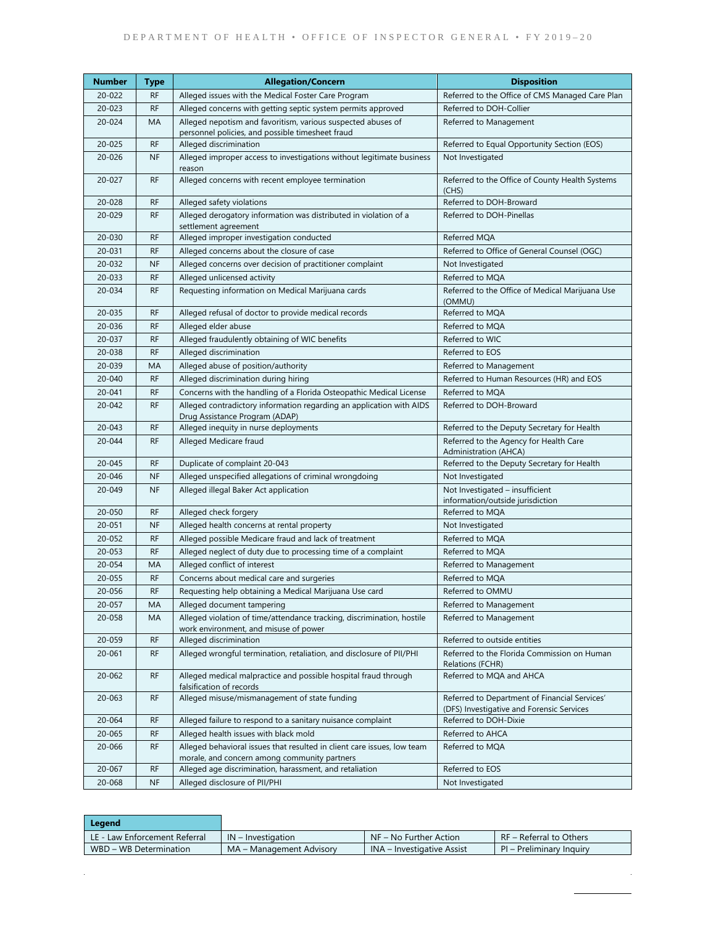| Number           | Type                   | <b>Allegation/Concern</b>                                                                                               | <b>Disposition</b>                                                                         |  |
|------------------|------------------------|-------------------------------------------------------------------------------------------------------------------------|--------------------------------------------------------------------------------------------|--|
| 20-022           | <b>RF</b>              | Alleged issues with the Medical Foster Care Program                                                                     | Referred to the Office of CMS Managed Care Plan                                            |  |
| 20-023           | <b>RF</b>              | Alleged concerns with getting septic system permits approved                                                            | Referred to DOH-Collier                                                                    |  |
| 20-024           | MA                     | Alleged nepotism and favoritism, various suspected abuses of                                                            | Referred to Management                                                                     |  |
|                  |                        | personnel policies, and possible timesheet fraud                                                                        |                                                                                            |  |
| 20-025           | <b>RF</b>              | Alleged discrimination                                                                                                  | Referred to Equal Opportunity Section (EOS)                                                |  |
| 20-026           | <b>NF</b>              | Alleged improper access to investigations without legitimate business                                                   | Not Investigated                                                                           |  |
| 20-027           | <b>RF</b>              | reason<br>Alleged concerns with recent employee termination                                                             | Referred to the Office of County Health Systems                                            |  |
|                  |                        |                                                                                                                         | (CHS)                                                                                      |  |
| 20-028           | <b>RF</b>              | Alleged safety violations                                                                                               | Referred to DOH-Broward                                                                    |  |
| 20-029           | <b>RF</b>              | Alleged derogatory information was distributed in violation of a                                                        | Referred to DOH-Pinellas                                                                   |  |
|                  |                        | settlement agreement                                                                                                    |                                                                                            |  |
| 20-030           | <b>RF</b>              | Alleged improper investigation conducted                                                                                | Referred MQA                                                                               |  |
| 20-031           | <b>RF</b>              | Alleged concerns about the closure of case                                                                              | Referred to Office of General Counsel (OGC)                                                |  |
| 20-032<br>20-033 | <b>NF</b><br><b>RF</b> | Alleged concerns over decision of practitioner complaint                                                                | Not Investigated                                                                           |  |
| 20-034           | <b>RF</b>              | Alleged unlicensed activity<br>Requesting information on Medical Marijuana cards                                        | Referred to MQA<br>Referred to the Office of Medical Marijuana Use                         |  |
|                  |                        |                                                                                                                         | (OMMU)                                                                                     |  |
| 20-035           | <b>RF</b>              | Alleged refusal of doctor to provide medical records                                                                    | Referred to MQA                                                                            |  |
| 20-036           | <b>RF</b>              | Alleged elder abuse                                                                                                     | Referred to MQA                                                                            |  |
| 20-037           | <b>RF</b>              | Alleged fraudulently obtaining of WIC benefits                                                                          | Referred to WIC                                                                            |  |
| 20-038           | <b>RF</b>              | Alleged discrimination                                                                                                  | Referred to EOS                                                                            |  |
| 20-039           | MA                     | Alleged abuse of position/authority                                                                                     | Referred to Management                                                                     |  |
| 20-040           | <b>RF</b>              | Alleged discrimination during hiring                                                                                    | Referred to Human Resources (HR) and EOS                                                   |  |
| 20-041           | <b>RF</b>              | Concerns with the handling of a Florida Osteopathic Medical License                                                     | Referred to MQA                                                                            |  |
| $20 - 042$       | <b>RF</b>              | Alleged contradictory information regarding an application with AIDS                                                    | Referred to DOH-Broward                                                                    |  |
|                  |                        | Drug Assistance Program (ADAP)                                                                                          |                                                                                            |  |
| 20-043<br>20-044 | <b>RF</b><br><b>RF</b> | Alleged inequity in nurse deployments<br>Alleged Medicare fraud                                                         | Referred to the Deputy Secretary for Health<br>Referred to the Agency for Health Care      |  |
|                  |                        |                                                                                                                         | <b>Administration (AHCA)</b>                                                               |  |
| 20-045           | <b>RF</b>              | Duplicate of complaint 20-043                                                                                           | Referred to the Deputy Secretary for Health                                                |  |
| 20-046           | <b>NF</b>              | Alleged unspecified allegations of criminal wrongdoing                                                                  | Not Investigated                                                                           |  |
| 20-049           | <b>NF</b>              | Alleged illegal Baker Act application                                                                                   | Not Investigated - insufficient                                                            |  |
|                  |                        |                                                                                                                         | information/outside jurisdiction                                                           |  |
| 20-050           | <b>RF</b>              | Alleged check forgery                                                                                                   | Referred to MQA                                                                            |  |
| 20-051           | <b>NF</b>              | Alleged health concerns at rental property                                                                              | Not Investigated                                                                           |  |
| 20-052           | <b>RF</b>              | Alleged possible Medicare fraud and lack of treatment                                                                   | Referred to MOA                                                                            |  |
| 20-053<br>20-054 | <b>RF</b><br>MA        | Alleged neglect of duty due to processing time of a complaint<br>Alleged conflict of interest                           | Referred to MQA                                                                            |  |
| 20-055           | <b>RF</b>              | Concerns about medical care and surgeries                                                                               | Referred to Management<br>Referred to MQA                                                  |  |
| 20-056           | RF                     | Requesting help obtaining a Medical Marijuana Use card                                                                  | Referred to OMMU                                                                           |  |
| 20-057           | МA                     | Alleged document tampering                                                                                              | Referred to Management                                                                     |  |
| 20-058           | МA                     | Alleged violation of time/attendance tracking, discrimination, hostile                                                  | Referred to Management                                                                     |  |
|                  |                        | work environment, and misuse of power                                                                                   |                                                                                            |  |
| 20-059           | <b>RF</b>              | Alleged discrimination                                                                                                  | Referred to outside entities                                                               |  |
| 20-061           | <b>RF</b>              | Alleged wrongful termination, retaliation, and disclosure of PII/PHI                                                    | Referred to the Florida Commission on Human<br>Relations (FCHR)                            |  |
| 20-062           | <b>RF</b>              | Alleged medical malpractice and possible hospital fraud through<br>falsification of records                             | Referred to MQA and AHCA                                                                   |  |
| 20-063           | <b>RF</b>              | Alleged misuse/mismanagement of state funding                                                                           | Referred to Department of Financial Services'<br>(DFS) Investigative and Forensic Services |  |
| 20-064           | <b>RF</b>              | Alleged failure to respond to a sanitary nuisance complaint                                                             | Referred to DOH-Dixie                                                                      |  |
| 20-065           | <b>RF</b>              | Alleged health issues with black mold                                                                                   | Referred to AHCA                                                                           |  |
| 20-066           | <b>RF</b>              | Alleged behavioral issues that resulted in client care issues, low team<br>morale, and concern among community partners | Referred to MQA                                                                            |  |
| 20-067           | RF                     | Alleged age discrimination, harassment, and retaliation                                                                 | Referred to EOS                                                                            |  |
| 20-068           | $\sf{NF}$              | Alleged disclosure of PII/PHI                                                                                           | Not Investigated                                                                           |  |

| Legend                          |                          |                                   |                            |
|---------------------------------|--------------------------|-----------------------------------|----------------------------|
| L LE - Law Enforcement Referral | $IN$ – Investigation     | NF – No Further Action            | RF - Referral to Others    |
| WBD - WB Determination          | MA – Management Advisory | <b>INA</b> – Investigative Assist | $PI - Preliminary$ Inquiry |

 $\sim$   $\sim$ 

 $\mathcal{L}^{\text{max}}$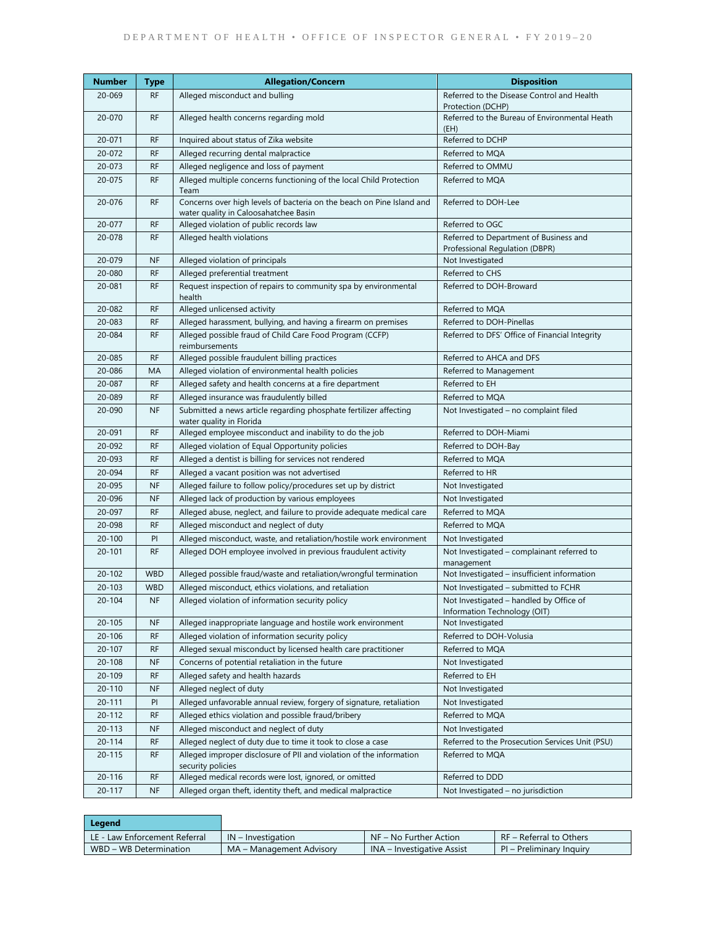| Number     | Type       | <b>Allegation/Concern</b>                                                                                      | <b>Disposition</b>                                                       |  |
|------------|------------|----------------------------------------------------------------------------------------------------------------|--------------------------------------------------------------------------|--|
| 20-069     | <b>RF</b>  | Alleged misconduct and bulling                                                                                 | Referred to the Disease Control and Health                               |  |
|            |            |                                                                                                                | Protection (DCHP)                                                        |  |
| 20-070     | <b>RF</b>  | Alleged health concerns regarding mold                                                                         | Referred to the Bureau of Environmental Heath<br>(EH)                    |  |
| 20-071     | <b>RF</b>  | Inquired about status of Zika website                                                                          | Referred to DCHP                                                         |  |
| 20-072     | <b>RF</b>  | Alleged recurring dental malpractice                                                                           | Referred to MQA                                                          |  |
| 20-073     | <b>RF</b>  | Alleged negligence and loss of payment                                                                         | Referred to OMMU                                                         |  |
| 20-075     | <b>RF</b>  | Alleged multiple concerns functioning of the local Child Protection<br>Team                                    | Referred to MQA                                                          |  |
| 20-076     | <b>RF</b>  | Concerns over high levels of bacteria on the beach on Pine Island and<br>water quality in Caloosahatchee Basin | Referred to DOH-Lee                                                      |  |
| 20-077     | <b>RF</b>  | Alleged violation of public records law                                                                        | Referred to OGC                                                          |  |
| 20-078     | <b>RF</b>  | Alleged health violations                                                                                      | Referred to Department of Business and<br>Professional Regulation (DBPR) |  |
| 20-079     | <b>NF</b>  | Alleged violation of principals                                                                                | Not Investigated                                                         |  |
| 20-080     | <b>RF</b>  | Alleged preferential treatment                                                                                 | Referred to CHS                                                          |  |
| 20-081     | <b>RF</b>  | Request inspection of repairs to community spa by environmental<br>health                                      | Referred to DOH-Broward                                                  |  |
| 20-082     | <b>RF</b>  | Alleged unlicensed activity                                                                                    | Referred to MQA                                                          |  |
| 20-083     | <b>RF</b>  | Alleged harassment, bullying, and having a firearm on premises                                                 | Referred to DOH-Pinellas                                                 |  |
| 20-084     | <b>RF</b>  | Alleged possible fraud of Child Care Food Program (CCFP)<br>reimbursements                                     | Referred to DFS' Office of Financial Integrity                           |  |
| 20-085     | <b>RF</b>  | Alleged possible fraudulent billing practices                                                                  | Referred to AHCA and DFS                                                 |  |
| 20-086     | MA         | Alleged violation of environmental health policies                                                             | Referred to Management                                                   |  |
| 20-087     | <b>RF</b>  | Alleged safety and health concerns at a fire department                                                        | Referred to EH                                                           |  |
| 20-089     | <b>RF</b>  | Alleged insurance was fraudulently billed                                                                      | Referred to MOA                                                          |  |
| 20-090     | <b>NF</b>  | Submitted a news article regarding phosphate fertilizer affecting<br>water quality in Florida                  | Not Investigated – no complaint filed                                    |  |
| 20-091     | <b>RF</b>  | Alleged employee misconduct and inability to do the job                                                        | Referred to DOH-Miami                                                    |  |
| 20-092     | <b>RF</b>  | Alleged violation of Equal Opportunity policies                                                                | Referred to DOH-Bay                                                      |  |
| 20-093     | <b>RF</b>  | Alleged a dentist is billing for services not rendered                                                         | Referred to MQA                                                          |  |
| 20-094     | <b>RF</b>  | Alleged a vacant position was not advertised                                                                   | Referred to HR                                                           |  |
| 20-095     | <b>NF</b>  | Alleged failure to follow policy/procedures set up by district                                                 | Not Investigated                                                         |  |
| 20-096     | <b>NF</b>  | Alleged lack of production by various employees                                                                | Not Investigated                                                         |  |
| 20-097     | <b>RF</b>  | Alleged abuse, neglect, and failure to provide adequate medical care                                           | Referred to MQA                                                          |  |
| 20-098     | <b>RF</b>  | Alleged misconduct and neglect of duty                                                                         | Referred to MQA                                                          |  |
| $20 - 100$ | PI         | Alleged misconduct, waste, and retaliation/hostile work environment                                            | Not Investigated                                                         |  |
| 20-101     | <b>RF</b>  | Alleged DOH employee involved in previous fraudulent activity                                                  | Not Investigated - complainant referred to<br>management                 |  |
| 20-102     | <b>WBD</b> | Alleged possible fraud/waste and retaliation/wrongful termination                                              | Not Investigated - insufficient information                              |  |
| $20 - 103$ | <b>WBD</b> | Alleged misconduct, ethics violations, and retaliation                                                         | Not Investigated - submitted to FCHR                                     |  |
| $20 - 104$ | <b>NF</b>  | Alleged violation of information security policy                                                               | Not Investigated - handled by Office of<br>Information Technology (OIT)  |  |
| $20 - 105$ | <b>NF</b>  | Alleged inappropriate language and hostile work environment                                                    | Not Investigated                                                         |  |
| $20 - 106$ | <b>RF</b>  | Alleged violation of information security policy                                                               | Referred to DOH-Volusia                                                  |  |
| 20-107     | <b>RF</b>  | Alleged sexual misconduct by licensed health care practitioner                                                 | Referred to MQA                                                          |  |
| $20 - 108$ | <b>NF</b>  | Concerns of potential retaliation in the future                                                                | Not Investigated                                                         |  |
| 20-109     | <b>RF</b>  | Alleged safety and health hazards                                                                              | Referred to EH                                                           |  |
| 20-110     | <b>NF</b>  | Alleged neglect of duty                                                                                        | Not Investigated                                                         |  |
| 20-111     | PI         | Alleged unfavorable annual review, forgery of signature, retaliation                                           | Not Investigated                                                         |  |
| 20-112     | <b>RF</b>  | Alleged ethics violation and possible fraud/bribery                                                            | Referred to MQA                                                          |  |
| 20-113     | <b>NF</b>  | Alleged misconduct and neglect of duty                                                                         | Not Investigated                                                         |  |
| 20-114     | RF         | Alleged neglect of duty due to time it took to close a case                                                    | Referred to the Prosecution Services Unit (PSU)                          |  |
| 20-115     | <b>RF</b>  | Alleged improper disclosure of PII and violation of the information<br>security policies                       | Referred to MQA                                                          |  |
| 20-116     | <b>RF</b>  | Alleged medical records were lost, ignored, or omitted                                                         | Referred to DDD                                                          |  |
| 20-117     | <b>NF</b>  | Alleged organ theft, identity theft, and medical malpractice                                                   | Not Investigated - no jurisdiction                                       |  |

| Legend                        |                          |                              |                          |
|-------------------------------|--------------------------|------------------------------|--------------------------|
| LE - Law Enforcement Referral | $IN$ – Investigation     | $\sqrt{N}$ No Further Action | RF – Referral to Others  |
| WBD - WB Determination        | MA – Management Advisory | INA – Investigative Assist   | PI – Preliminary Inquiry |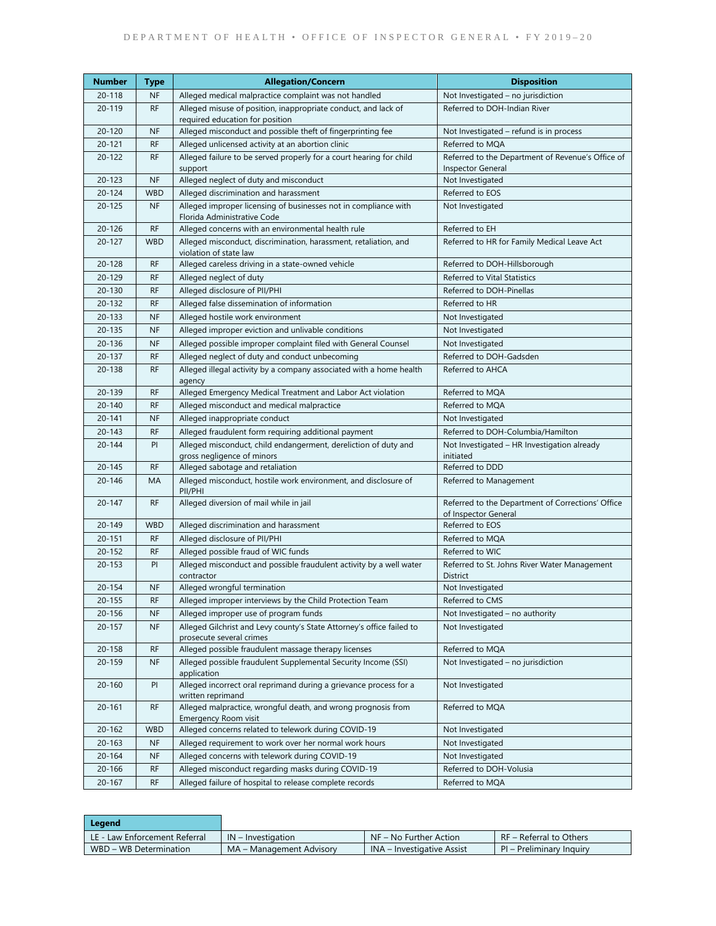| Number     | Type       | <b>Allegation/Concern</b>                                                                         | <b>Disposition</b>                                                        |  |
|------------|------------|---------------------------------------------------------------------------------------------------|---------------------------------------------------------------------------|--|
| 20-118     | <b>NF</b>  | Alleged medical malpractice complaint was not handled                                             | Not Investigated - no jurisdiction                                        |  |
| 20-119     | <b>RF</b>  | Alleged misuse of position, inappropriate conduct, and lack of<br>required education for position | Referred to DOH-Indian River                                              |  |
| 20-120     | <b>NF</b>  | Alleged misconduct and possible theft of fingerprinting fee                                       | Not Investigated – refund is in process                                   |  |
| $20 - 121$ | <b>RF</b>  | Alleged unlicensed activity at an abortion clinic                                                 | Referred to MQA                                                           |  |
| $20 - 122$ | <b>RF</b>  | Alleged failure to be served properly for a court hearing for child                               | Referred to the Department of Revenue's Office of                         |  |
|            |            | support                                                                                           | <b>Inspector General</b>                                                  |  |
| 20-123     | <b>NF</b>  | Alleged neglect of duty and misconduct                                                            | Not Investigated                                                          |  |
| $20 - 124$ | <b>WBD</b> | Alleged discrimination and harassment                                                             | Referred to EOS                                                           |  |
| $20 - 125$ | <b>NF</b>  | Alleged improper licensing of businesses not in compliance with<br>Florida Administrative Code    | Not Investigated                                                          |  |
| $20 - 126$ | <b>RF</b>  | Alleged concerns with an environmental health rule                                                | Referred to EH                                                            |  |
| $20 - 127$ | <b>WBD</b> | Alleged misconduct, discrimination, harassment, retaliation, and<br>violation of state law        | Referred to HR for Family Medical Leave Act                               |  |
| 20-128     | <b>RF</b>  | Alleged careless driving in a state-owned vehicle                                                 | Referred to DOH-Hillsborough                                              |  |
| 20-129     | <b>RF</b>  | Alleged neglect of duty                                                                           | Referred to Vital Statistics                                              |  |
| 20-130     | <b>RF</b>  | Alleged disclosure of PII/PHI                                                                     | Referred to DOH-Pinellas                                                  |  |
| 20-132     | <b>RF</b>  | Alleged false dissemination of information                                                        | Referred to HR                                                            |  |
| 20-133     | <b>NF</b>  | Alleged hostile work environment                                                                  | Not Investigated                                                          |  |
| 20-135     | <b>NF</b>  | Alleged improper eviction and unlivable conditions                                                | Not Investigated                                                          |  |
| 20-136     | <b>NF</b>  | Alleged possible improper complaint filed with General Counsel                                    | Not Investigated                                                          |  |
| 20-137     | <b>RF</b>  | Alleged neglect of duty and conduct unbecoming                                                    | Referred to DOH-Gadsden                                                   |  |
| $20 - 138$ | <b>RF</b>  | Alleged illegal activity by a company associated with a home health<br>agency                     | Referred to AHCA                                                          |  |
| 20-139     | <b>RF</b>  | Alleged Emergency Medical Treatment and Labor Act violation                                       | Referred to MQA                                                           |  |
| $20 - 140$ | <b>RF</b>  | Alleged misconduct and medical malpractice                                                        | Referred to MQA                                                           |  |
| $20 - 141$ | <b>NF</b>  | Alleged inappropriate conduct                                                                     | Not Investigated                                                          |  |
| 20-143     | <b>RF</b>  | Alleged fraudulent form requiring additional payment                                              | Referred to DOH-Columbia/Hamilton                                         |  |
| $20 - 144$ | PI         | Alleged misconduct, child endangerment, dereliction of duty and<br>gross negligence of minors     | Not Investigated - HR Investigation already<br>initiated                  |  |
| 20-145     | <b>RF</b>  | Alleged sabotage and retaliation                                                                  | Referred to DDD                                                           |  |
| 20-146     | MA         | Alleged misconduct, hostile work environment, and disclosure of<br>PII/PHI                        | Referred to Management                                                    |  |
| $20 - 147$ | <b>RF</b>  | Alleged diversion of mail while in jail                                                           | Referred to the Department of Corrections' Office<br>of Inspector General |  |
| 20-149     | <b>WBD</b> | Alleged discrimination and harassment                                                             | Referred to EOS                                                           |  |
| $20 - 151$ | <b>RF</b>  | Alleged disclosure of PII/PHI                                                                     | Referred to MQA                                                           |  |
| 20-152     | <b>RF</b>  | Alleged possible fraud of WIC funds                                                               | Referred to WIC                                                           |  |
| 20-153     | PI         | Alleged misconduct and possible fraudulent activity by a well water<br>contractor                 | Referred to St. Johns River Water Management<br>District                  |  |
| $20 - 154$ | <b>NF</b>  | Alleged wrongful termination                                                                      | Not Investigated                                                          |  |
| $20 - 155$ | <b>RF</b>  | Alleged improper interviews by the Child Protection Team                                          | Referred to CMS                                                           |  |
| 20-156     | <b>NF</b>  | Alleged improper use of program funds                                                             | Not Investigated – no authority                                           |  |
| 20-157     | <b>NF</b>  | Alleged Gilchrist and Levy county's State Attorney's office failed to<br>prosecute several crimes | Not Investigated                                                          |  |
| 20-158     | <b>RF</b>  | Alleged possible fraudulent massage therapy licenses                                              | Referred to MQA                                                           |  |
| 20-159     | <b>NF</b>  | Alleged possible fraudulent Supplemental Security Income (SSI)<br>application                     | Not Investigated - no jurisdiction                                        |  |
| $20 - 160$ | PI         | Alleged incorrect oral reprimand during a grievance process for a<br>written reprimand            | Not Investigated                                                          |  |
| $20 - 161$ | <b>RF</b>  | Alleged malpractice, wrongful death, and wrong prognosis from<br>Emergency Room visit             | Referred to MQA                                                           |  |
| $20 - 162$ | <b>WBD</b> | Alleged concerns related to telework during COVID-19                                              | Not Investigated                                                          |  |
| 20-163     | <b>NF</b>  | Alleged requirement to work over her normal work hours                                            | Not Investigated                                                          |  |
| $20 - 164$ | <b>NF</b>  | Alleged concerns with telework during COVID-19                                                    | Not Investigated                                                          |  |
| 20-166     | <b>RF</b>  | Alleged misconduct regarding masks during COVID-19                                                | Referred to DOH-Volusia                                                   |  |
| 20-167     | RF         | Alleged failure of hospital to release complete records                                           | Referred to MQA                                                           |  |

| Legend                        |                          |                            |                          |
|-------------------------------|--------------------------|----------------------------|--------------------------|
| LE - Law Enforcement Referral | $IN$ – Investigation     | NF – No Further Action     | RF - Referral to Others  |
| WBD - WB Determination        | MA – Management Advisory | INA – Investigative Assist | PI – Preliminary Inquiry |

 $\mathbb{R}$